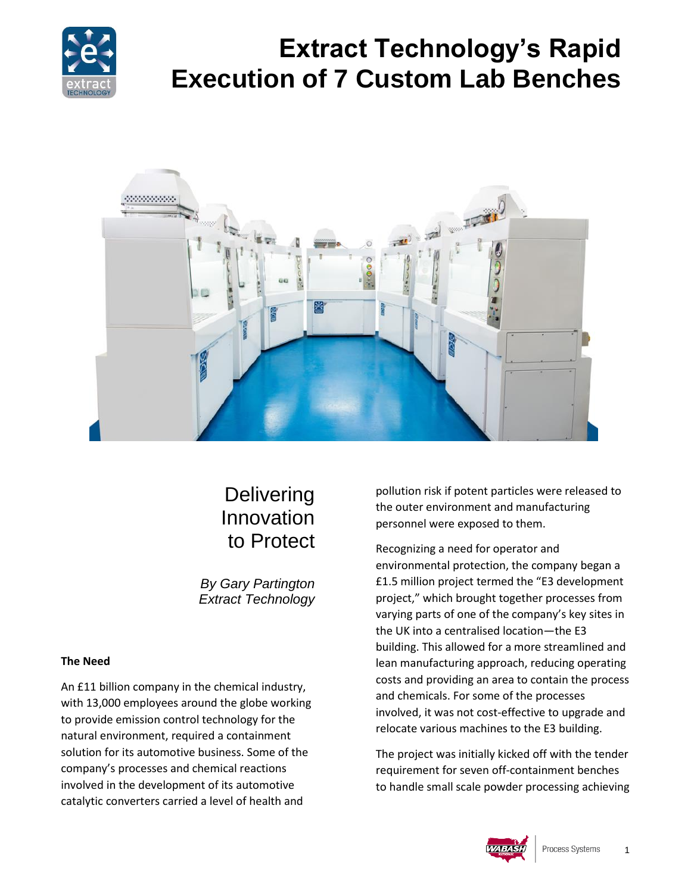

# **Extract Technology's Rapid Execution of 7 Custom Lab Benches**



# **Delivering** Innovation to Protect

*By Gary Partington Extract Technology*

#### **The Need**

An £11 billion company in the chemical industry, with 13,000 employees around the globe working to provide emission control technology for the natural environment, required a containment solution for its automotive business. Some of the company's processes and chemical reactions involved in the development of its automotive catalytic converters carried a level of health and

pollution risk if potent particles were released to the outer environment and manufacturing personnel were exposed to them.

Recognizing a need for operator and environmental protection, the company began a £1.5 million project termed the "E3 development project," which brought together processes from varying parts of one of the company's key sites in the UK into a centralised location—the E3 building. This allowed for a more streamlined and lean manufacturing approach, reducing operating costs and providing an area to contain the process and chemicals. For some of the processes involved, it was not cost-effective to upgrade and relocate various machines to the E3 building.

The project was initially kicked off with the tender requirement for seven off-containment benches to handle small scale powder processing achieving